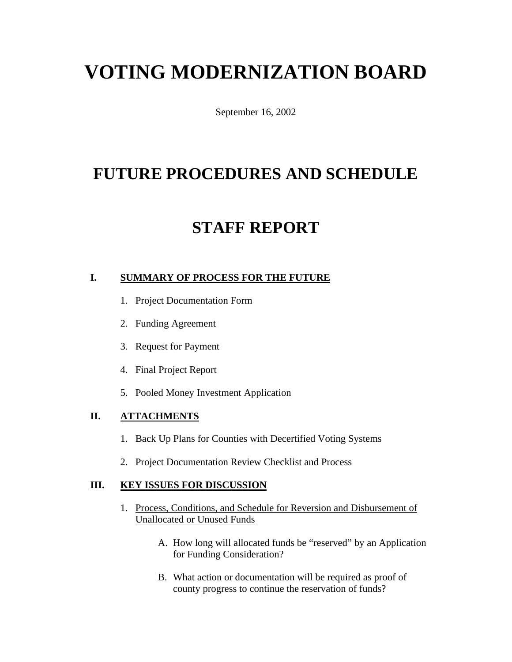# **VOTING MODERNIZATION BOARD**

September 16, 2002

# **FUTURE PROCEDURES AND SCHEDULE**

# **STAFF REPORT**

### **I. SUMMARY OF PROCESS FOR THE FUTURE**

- 1. Project Documentation Form
- 2. Funding Agreement
- 3. Request for Payment
- 4. Final Project Report
- 5. Pooled Money Investment Application

### **II. ATTACHMENTS**

- 1. Back Up Plans for Counties with Decertified Voting Systems
- 2. Project Documentation Review Checklist and Process

#### **III. KEY ISSUES FOR DISCUSSION**

- 1. Process, Conditions, and Schedule for Reversion and Disbursement of Unallocated or Unused Funds
	- A. How long will allocated funds be "reserved" by an Application for Funding Consideration?
	- B. What action or documentation will be required as proof of county progress to continue the reservation of funds?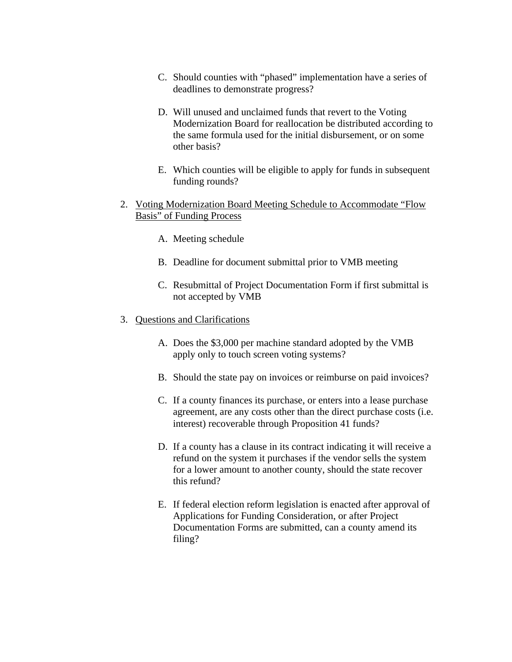- C. Should counties with "phased" implementation have a series of deadlines to demonstrate progress?
- D. Will unused and unclaimed funds that revert to the Voting Modernization Board for reallocation be distributed according to the same formula used for the initial disbursement, or on some other basis?
- E. Which counties will be eligible to apply for funds in subsequent funding rounds?
- 2. Voting Modernization Board Meeting Schedule to Accommodate "Flow Basis" of Funding Process
	- A. Meeting schedule
	- B. Deadline for document submittal prior to VMB meeting
	- C. Resubmittal of Project Documentation Form if first submittal is not accepted by VMB
- 3. Questions and Clarifications
	- A. Does the \$3,000 per machine standard adopted by the VMB apply only to touch screen voting systems?
	- B. Should the state pay on invoices or reimburse on paid invoices?
	- C. If a county finances its purchase, or enters into a lease purchase agreement, are any costs other than the direct purchase costs (i.e. interest) recoverable through Proposition 41 funds?
	- D. If a county has a clause in its contract indicating it will receive a refund on the system it purchases if the vendor sells the system for a lower amount to another county, should the state recover this refund?
	- E. If federal election reform legislation is enacted after approval of Applications for Funding Consideration, or after Project Documentation Forms are submitted, can a county amend its filing?